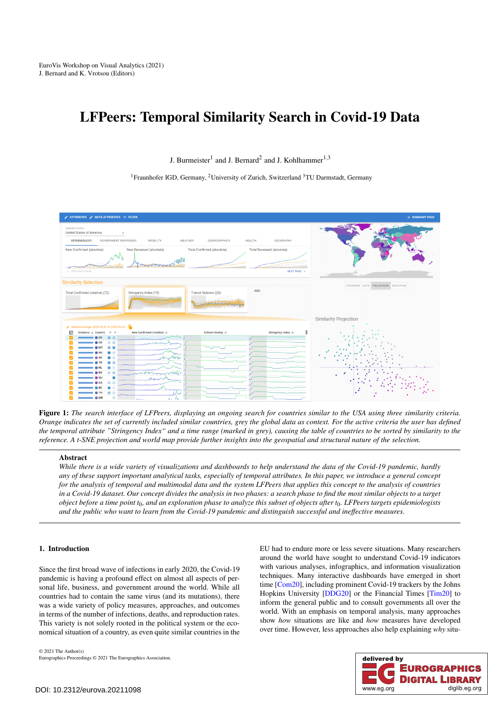# <span id="page-0-1"></span>LFPeers: Temporal Similarity Search in Covid-19 Data

J. Burmeister<sup>1</sup> and J. Bernard<sup>2</sup> and J. Kohlhammer<sup>1,3</sup>

<sup>1</sup>Fraunhofer IGD, Germany, <sup>2</sup>University of Zurich, Switzerland <sup>3</sup>TU Darmstadt, Germany



<span id="page-0-0"></span>Figure 1: *The search interface of LFPeers, displaying an ongoing search for countries similar to the USA using three similarity criteria. Orange indicates the set of currently included similar countries, grey the global data as context. For the active criteria the user has defined the temporal attribute "Stringency Index" and a time range (marked in grey), causing the table of countries to be sorted by similarity to the reference. A t-SNE projection and world map provide further insights into the geospatial and structural nature of the selection.*

# Abstract

*While there is a wide variety of visualizations and dashboards to help understand the data of the Covid-19 pandemic, hardly any of these support important analytical tasks, especially of temporal attributes. In this paper, we introduce a general concept for the analysis of temporal and multimodal data and the system LFPeers that applies this concept to the analysis of countries in a Covid-19 dataset. Our concept divides the analysis in two phases: a search phase to find the most similar objects to a target object before a time point t*0*, and an exploration phase to analyze this subset of objects after t*0*. LFPeers targets epidemiologists and the public who want to learn from the Covid-19 pandemic and distinguish successful and ineffective measures.*

## 1. Introduction

Since the first broad wave of infections in early 2020, the Covid-19 pandemic is having a profound effect on almost all aspects of personal life, business, and government around the world. While all countries had to contain the same virus (and its mutations), there was a wide variety of policy measures, approaches, and outcomes in terms of the number of infections, deaths, and reproduction rates. This variety is not solely rooted in the political system or the economical situation of a country, as even quite similar countries in the

EU had to endure more or less severe situations. Many researchers around the world have sought to understand Covid-19 indicators with various analyses, infographics, and information visualization techniques. Many interactive dashboards have emerged in short time [\[Com20\]](#page-4-0), including prominent Covid-19 trackers by the Johns Hopkins University [\[DDG20\]](#page-4-1) or the Financial Times [\[Tim20\]](#page-4-2) to inform the general public and to consult governments all over the world. With an emphasis on temporal analysis, many approaches show *how* situations are like and *how* measures have developed over time. However, less approaches also help explaining *why* situ-

© 2021 The Author(s) Eurographics Proceedings © 2021 The Eurographics Association.

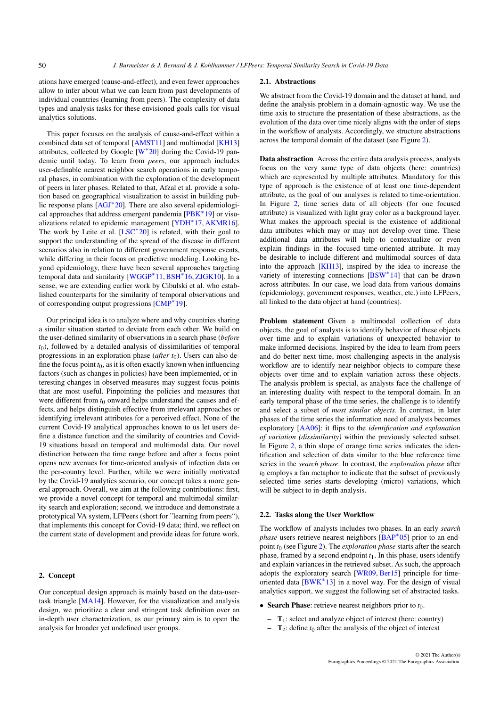<span id="page-1-0"></span>ations have emerged (cause-and-effect), and even fewer approaches allow to infer about what we can learn from past developments of individual countries (learning from peers). The complexity of data types and analysis tasks for these envisioned goals calls for visual analytics solutions.

This paper focuses on the analysis of cause-and-effect within a combined data set of temporal [\[AMST11\]](#page-4-3) and multimodal [\[KH13\]](#page-4-4) attributes, collected by Google  $[W^*20]$  $[W^*20]$  during the Covid-19 pandemic until today. To learn from *peers*, our approach includes user-definable nearest neighbor search operations in early temporal phases, in combination with the exploration of the development of peers in later phases. Related to that, Afzal et al. provide a solution based on geographical visualization to assist in building public response plans [\[AGJ](#page-4-6)<sup>∗</sup> 20]. There are also several epidemiological approaches that address emergent pandemia [\[PBK](#page-4-7)<sup>∗</sup> 19] or visualizations related to epidemic management [\[YDH](#page-4-8)<sup>∗</sup> 17, [AKMR16\]](#page-4-9). The work by Leite et al.  $[LSC^*20]$  $[LSC^*20]$  is related, with their goal to support the understanding of the spread of the disease in different scenarios also in relation to different government response events, while differing in their focus on predictive modeling. Looking beyond epidemiology, there have been several approaches targeting temporal data and similarity [\[WGGP](#page-4-11)<sup>∗</sup> 11,[BSH](#page-4-12)<sup>∗</sup> 16, [ZJGK10\]](#page-4-13). In a sense, we are extending earlier work by Cibulski et al. who established counterparts for the similarity of temporal observations and of corresponding output progressions [\[CMP](#page-4-14)<sup>∗</sup> 19].

Our principal idea is to analyze where and why countries sharing a similar situation started to deviate from each other. We build on the user-defined similarity of observations in a search phase (*before*  $t<sub>0</sub>$ ), followed by a detailed analysis of dissimilarities of temporal progressions in an exploration phase (*after t*<sub>0</sub>). Users can also define the focus point  $t_0$ , as it is often exactly known when influencing factors (such as changes in policies) have been implemented, or interesting changes in observed measures may suggest focus points that are most useful. Pinpointing the policies and measures that were different from  $t_0$  onward helps understand the causes and effects, and helps distinguish effective from irrelevant approaches or identifying irrelevant attributes for a perceived effect. None of the current Covid-19 analytical approaches known to us let users define a distance function and the similarity of countries and Covid-19 situations based on temporal and multimodal data. Our novel distinction between the time range before and after a focus point opens new avenues for time-oriented analysis of infection data on the per-country level. Further, while we were initially motivated by the Covid-19 analytics scenario, our concept takes a more general approach. Overall, we aim at the following contributions: first, we provide a novel concept for temporal and multimodal similarity search and exploration; second, we introduce and demonstrate a prototypical VA system, LFPeers (short for "learning from peers"), that implements this concept for Covid-19 data; third, we reflect on the current state of development and provide ideas for future work.

# 2. Concept

Our conceptual design approach is mainly based on the data-usertask triangle [\[MA14\]](#page-4-15). However, for the visualization and analysis design, we prioritize a clear and stringent task definition over an in-depth user characterization, as our primary aim is to open the analysis for broader yet undefined user groups.

#### 2.1. Abstractions

We abstract from the Covid-19 domain and the dataset at hand, and define the analysis problem in a domain-agnostic way. We use the time axis to structure the presentation of these abstractions, as the evolution of the data over time nicely aligns with the order of steps in the workflow of analysts. Accordingly, we structure abstractions across the temporal domain of the dataset (see Figure [2\)](#page-2-0).

Data abstraction Across the entire data analysis process, analysts focus on the very same type of data objects (here: countries) which are represented by multiple attributes. Mandatory for this type of approach is the existence of at least one time-dependent attribute, as the goal of our analyses is related to time-orientation. In Figure [2,](#page-2-0) time series data of all objects (for one focused attribute) is visualized with light gray color as a background layer. What makes the approach special is the existence of additional data attributes which may or may not develop over time. These additional data attributes will help to contextualize or even explain findings in the focused time-oriented attribute. It may be desirable to include different and multimodal sources of data into the approach [\[KH13\]](#page-4-4), inspired by the idea to increase the variety of interesting connections [\[BSW](#page-4-16)<sup>\*</sup>14] that can be drawn across attributes. In our case, we load data from various domains (epidemiology, government responses, weather, etc.) into LFPeers, all linked to the data object at hand (countries).

Problem statement Given a multimodal collection of data objects, the goal of analysts is to identify behavior of these objects over time and to explain variations of unexpected behavior to make informed decisions. Inspired by the idea to learn from peers and do better next time, most challenging aspects in the analysis workflow are to identify near-neighbor objects to compare these objects over time and to explain variation across these objects. The analysis problem is special, as analysts face the challenge of an interesting duality with respect to the temporal domain. In an early temporal phase of the time series, the challenge is to identify and select a subset of *most similar objects*. In contrast, in later phases of the time series the information need of analysts becomes exploratory [\[AA06\]](#page-4-17): it flips to the *identification and explanation of variation (dissimilarity)* within the previously selected subset. In Figure [2,](#page-2-0) a thin slope of orange time series indicates the identification and selection of data similar to the blue reference time series in the *search phase*. In contrast, the *exploration phase* after  $t_0$  employs a fan metaphor to indicate that the subset of previously selected time series starts developing (micro) variations, which will be subject to in-depth analysis.

#### 2.2. Tasks along the User Workflow

The workflow of analysts includes two phases. In an early *search phase* users retrieve nearest neighbors [\[BAP](#page-4-18)<sup>\*</sup>05] prior to an endpoint *t*<sup>0</sup> (see Figure [2\)](#page-2-0). The *exploration phase* starts after the search phase, framed by a second endpoint  $t_1$ . In this phase, users identify and explain variances in the retrieved subset. As such, the approach adopts the exploratory search [\[WR09,](#page-4-19) [Ber15\]](#page-4-20) principle for time-oriented data [\[BWK](#page-4-21)<sup>\*</sup>13] in a novel way. For the design of visual analytics support, we suggest the following set of abstracted tasks.

- Search Phase: retrieve nearest neighbors prior to *t*0.
	- $-$  T<sub>1</sub>: select and analyze object of interest (here: country)
	- $-$  **T**<sub>2</sub>: define  $t_0$  after the analysis of the object of interest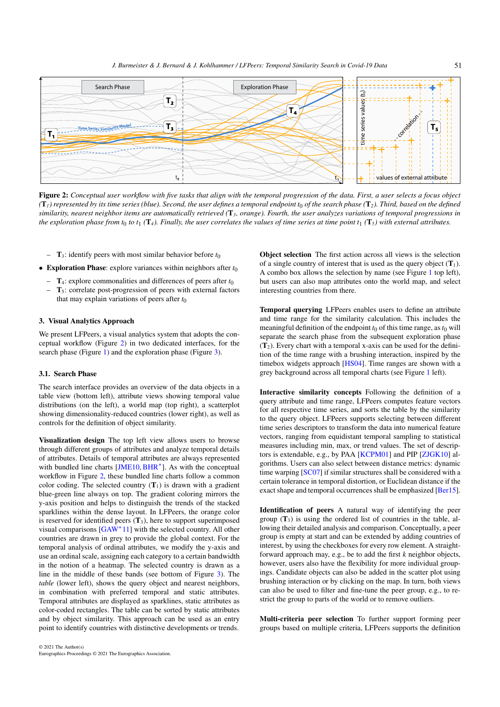51

<span id="page-2-1"></span>

<span id="page-2-0"></span>Figure 2: *Conceptual user workflow with five tasks that align with the temporal progression of the data. First, a user selects a focus object*  $(T_1)$  represented by its time series (blue). Second, the user defines a temporal endpoint  $t_0$  of the search phase ( $T_2$ ). Third, based on the defined *similarity, nearest neighbor items are automatically retrieved (*T*3, orange). Fourth, the user analyzes variations of temporal progressions in the exploration phase from t*<sub>0</sub> *to t*<sub>1</sub> ( $\mathbf{T}_4$ ). Finally, the user correlates the values of time series at time point  $t_1$  ( $\mathbf{T}_5$ ) with external attributes.

- $-$  T<sub>3</sub>: identify peers with most similar behavior before  $t_0$
- **Exploration Phase:** explore variances within neighbors after  $t_0$ 
	- $-$  T<sub>4</sub>: explore commonalities and differences of peers after  $t_0$
	- $T<sub>5</sub>$ : correlate post-progression of peers with external factors that may explain variations of peers after  $t_0$

# 3. Visual Analytics Approach

We present LFPeers, a visual analytics system that adopts the conceptual workflow (Figure [2\)](#page-2-0) in two dedicated interfaces, for the search phase (Figure [1\)](#page-0-0) and the exploration phase (Figure [3\)](#page-3-0).

## 3.1. Search Phase

The search interface provides an overview of the data objects in a table view (bottom left), attribute views showing temporal value distributions (on the left), a world map (top right), a scatterplot showing dimensionality-reduced countries (lower right), as well as controls for the definition of object similarity.

Visualization design The top left view allows users to browse through different groups of attributes and analyze temporal details of attributes. Details of temporal attributes are always represented with bundled line charts [\[JME10,](#page-4-22) [BHR](#page-4-23)<sup>∗</sup>]. As with the conceptual workflow in Figure [2,](#page-2-0) these bundled line charts follow a common color coding. The selected country  $(T_1)$  is drawn with a gradient blue-green line always on top. The gradient coloring mirrors the y-axis position and helps to distinguish the trends of the stacked sparklines within the dense layout. In LFPeers, the orange color is reserved for identified peers  $(T_3)$ , here to support superimposed visual comparisons [\[GAW](#page-4-24)<sup>∗</sup>11] with the selected country. All other countries are drawn in grey to provide the global context. For the temporal analysis of ordinal attributes, we modify the y-axis and use an ordinal scale, assigning each category to a certain bandwidth in the notion of a heatmap. The selected country is drawn as a line in the middle of these bands (see bottom of Figure [3\)](#page-3-0). The *table* (lower left), shows the query object and nearest neighbors, in combination with preferred temporal and static attributes. Temporal attributes are displayed as sparklines, static attributes as color-coded rectangles. The table can be sorted by static attributes and by object similarity. This approach can be used as an entry point to identify countries with distinctive developments or trends.

Object selection The first action across all views is the selection of a single country of interest that is used as the query object  $(T_1)$ . A combo box allows the selection by name (see Figure [1](#page-0-0) top left), but users can also map attributes onto the world map, and select interesting countries from there.

Temporal querying LFPeers enables users to define an attribute and time range for the similarity calculation. This includes the meaningful definition of the endpoint  $t_0$  of this time range, as  $t_0$  will separate the search phase from the subsequent exploration phase  $(T<sub>2</sub>)$ . Every chart with a temporal x-axis can be used for the definition of the time range with a brushing interaction, inspired by the timebox widgets approach [\[HS04\]](#page-4-25). Time ranges are shown with a grey background across all temporal charts (see Figure [1](#page-0-0) left).

Interactive similarity concepts Following the definition of a query attribute and time range, LFPeers computes feature vectors for all respective time series, and sorts the table by the similarity to the query object. LFPeers supports selecting between different time series descriptors to transform the data into numerical feature vectors, ranging from equidistant temporal sampling to statistical measures including min, max, or trend values. The set of descriptors is extendable, e.g., by PAA [\[KCPM01\]](#page-4-26) and PIP [\[ZJGK10\]](#page-4-13) algorithms. Users can also select between distance metrics: dynamic time warping [\[SC07\]](#page-4-27) if similar structures shall be considered with a certain tolerance in temporal distortion, or Euclidean distance if the exact shape and temporal occurrences shall be emphasized [\[Ber15\]](#page-4-20).

Identification of peers A natural way of identifying the peer group  $(T_3)$  is using the ordered list of countries in the table, allowing their detailed analysis and comparison. Conceptually, a peer group is empty at start and can be extended by adding countries of interest, by using the checkboxes for every row element. A straightforward approach may, e.g., be to add the first *k* neighbor objects, however, users also have the flexibility for more individual groupings. Candidate objects can also be added in the scatter plot using brushing interaction or by clicking on the map. In turn, both views can also be used to filter and fine-tune the peer group, e.g., to restrict the group to parts of the world or to remove outliers.

Multi-criteria peer selection To further support forming peer groups based on multiple criteria, LFPeers supports the definition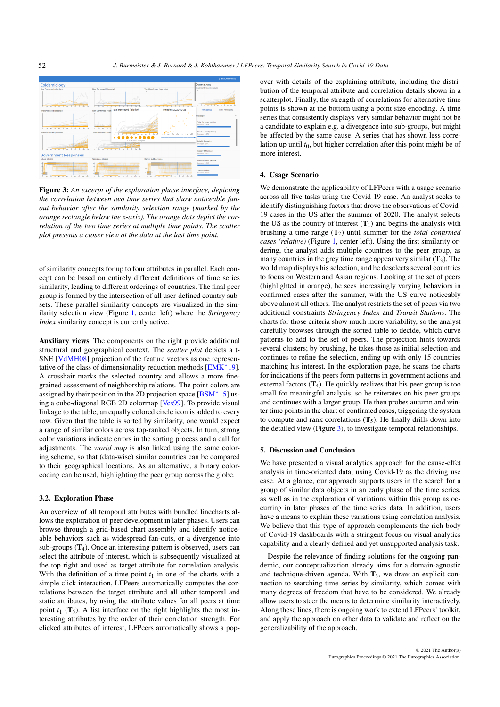<span id="page-3-1"></span>

<span id="page-3-0"></span>Figure 3: *An excerpt of the exploration phase interface, depicting the correlation between two time series that show noticeable fanout behavior after the similarity selection range (marked by the orange rectangle below the x-axis). The orange dots depict the correlation of the two time series at multiple time points. The scatter plot presents a closer view at the data at the last time point.*

of similarity concepts for up to four attributes in parallel. Each concept can be based on entirely different definitions of time series similarity, leading to different orderings of countries. The final peer group is formed by the intersection of all user-defined country subsets. These parallel similarity concepts are visualized in the similarity selection view (Figure [1,](#page-0-0) center left) where the *Stringency Index* similarity concept is currently active.

Auxiliary views The components on the right provide additional structural and geographical context. The *scatter plot* depicts a t-SNE [\[VdMH08\]](#page-4-28) projection of the feature vectors as one representative of the class of dimensionality reduction methods [\[EMK](#page-4-29)<sup>∗</sup> 19]. A crosshair marks the selected country and allows a more finegrained assessment of neighborship relations. The point colors are assigned by their position in the 2D projection space  $[BSM^*15]$  $[BSM^*15]$  using a cube-diagonal RGB 2D colormap [\[Ves99\]](#page-4-31). To provide visual linkage to the table, an equally colored circle icon is added to every row. Given that the table is sorted by similarity, one would expect a range of similar colors across top-ranked objects. In turn, strong color variations indicate errors in the sorting process and a call for adjustments. The *world map* is also linked using the same coloring scheme, so that (data-wise) similar countries can be compared to their geographical locations. As an alternative, a binary colorcoding can be used, highlighting the peer group across the globe.

#### 3.2. Exploration Phase

An overview of all temporal attributes with bundled linecharts allows the exploration of peer development in later phases. Users can browse through a grid-based chart assembly and identify noticeable behaviors such as widespread fan-outs, or a divergence into sub-groups  $(T_4)$ . Once an interesting pattern is observed, users can select the attribute of interest, which is subsequently visualized at the top right and used as target attribute for correlation analysis. With the definition of a time point  $t_1$  in one of the charts with a simple click interaction, LFPeers automatically computes the correlations between the target attribute and all other temporal and static attributes, by using the attribute values for all peers at time point  $t_1$  ( $T_5$ ). A list interface on the right highlights the most interesting attributes by the order of their correlation strength. For clicked attributes of interest, LFPeers automatically shows a popover with details of the explaining attribute, including the distribution of the temporal attribute and correlation details shown in a scatterplot. Finally, the strength of correlations for alternative time points is shown at the bottom using a point size encoding. A time series that consistently displays very similar behavior might not be a candidate to explain e.g. a divergence into sub-groups, but might be affected by the same cause. A series that has shown less correlation up until *t*0, but higher correlation after this point might be of more interest.

### 4. Usage Scenario

We demonstrate the applicability of LFPeers with a usage scenario across all five tasks using the Covid-19 case. An analyst seeks to identify distinguishing factors that drove the observations of Covid-19 cases in the US after the summer of 2020. The analyst selects the US as the country of interest  $(T_1)$  and begins the analysis with brushing a time range  $(T_2)$  until summer for the *total confirmed cases (relative)* (Figure [1,](#page-0-0) center left). Using the first similarity ordering, the analyst adds multiple countries to the peer group, as many countries in the grey time range appear very similar  $(T_3)$ . The world map displays his selection, and he deselects several countries to focus on Western and Asian regions. Looking at the set of peers (highlighted in orange), he sees increasingly varying behaviors in confirmed cases after the summer, with the US curve noticeably above almost all others. The analyst restricts the set of peers via two additional constraints *Stringency Index* and *Transit Stations*. The charts for those criteria show much more variability, so the analyst carefully browses through the sorted table to decide, which curve patterns to add to the set of peers. The projection hints towards several clusters; by brushing, he takes those as initial selection and continues to refine the selection, ending up with only 15 countries matching his interest. In the exploration page, he scans the charts for indications if the peers form patterns in government actions and external factors  $(T_4)$ . He quickly realizes that his peer group is too small for meaningful analysis, so he reiterates on his peer groups and continues with a larger group. He then probes autumn and winter time points in the chart of confirmed cases, triggering the system to compute and rank correlations  $(T_5)$ . He finally drills down into the detailed view (Figure [3\)](#page-3-0), to investigate temporal relationships.

#### 5. Discussion and Conclusion

We have presented a visual analytics approach for the cause-effet analysis in time-oriented data, using Covid-19 as the driving use case. At a glance, our approach supports users in the search for a group of similar data objects in an early phase of the time series, as well as in the exploration of variations within this group as occurring in later phases of the time series data. In addition, users have a means to explain these variations using correlation analysis. We believe that this type of approach complements the rich body of Covid-19 dashboards with a stringent focus on visual analytics capability and a clearly defined and yet unsupported analysis task.

Despite the relevance of finding solutions for the ongoing pandemic, our conceptualization already aims for a domain-agnostic and technique-driven agenda. With  $T_3$ , we draw an explicit connection to searching time series by similarity, which comes with many degrees of freedom that have to be considered. We already allow users to steer the means to determine similarity interactively. Along these lines, there is ongoing work to extend LFPeers' toolkit, and apply the approach on other data to validate and reflect on the generalizability of the approach.